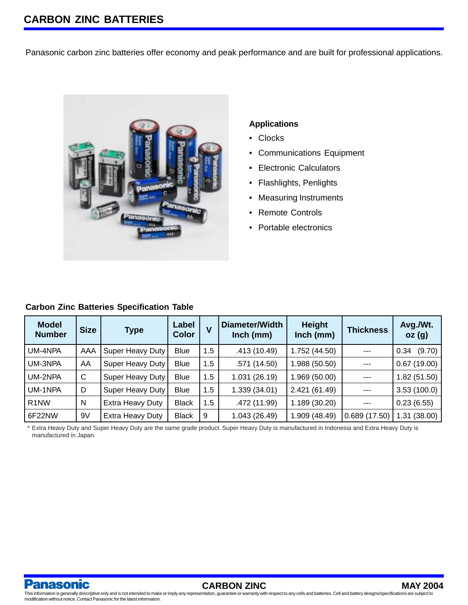Panasonic carbon zinc batteries offer economy and peak performance and are built for professional applications.



### **Applications**

- Clocks
- Communications Equipment
- Electronic Calculators
- Flashlights, Penlights
- Measuring Instruments
- Remote Controls
- Portable electronics

## **Carbon Zinc Batteries Specification Table**

| <b>Model</b><br><b>Number</b> | <b>Size</b> | <b>Type</b>      | Label<br><b>Color</b> | V   | Diameter/Width<br>$lnch$ (mm) | <b>Height</b><br>Inch (mm) | <b>Thickness</b> | Avg./Wt.<br>oz(g) |
|-------------------------------|-------------|------------------|-----------------------|-----|-------------------------------|----------------------------|------------------|-------------------|
| UM-4NPA                       | AAA         | Super Heavy Duty | <b>Blue</b>           | 1.5 | .413 (10.49)                  | 1.752 (44.50)              | $---$            | (9.70)<br>0.34    |
| UM-3NPA                       | AA          | Super Heavy Duty | <b>Blue</b>           | 1.5 | .571(14.50)                   | 1.988 (50.50)              | ---              | 0.67(19.00)       |
| UM-2NPA                       | C           | Super Heavy Duty | <b>Blue</b>           | 1.5 | 1.031 (26.19)                 | 1.969 (50.00)              | ---              | 1.82(51.50)       |
| UM-1NPA                       | D           | Super Heavy Duty | <b>Blue</b>           | 1.5 | 1.339 (34.01)                 | 2.421 (61.49)              | ---              | 3.53(100.0)       |
| R <sub>1</sub> NW             | N           | Extra Heavy Duty | <b>Black</b>          | 1.5 | .472 (11.99)                  | 1.189 (30.20)              | $---$            | 0.23(6.55)        |
| 6F22NW                        | 9V          | Extra Heavy Duty | <b>Black</b>          | 9   | 1.043 (26.49)                 | 1.909 (48.49)              | 0.689(17.50)     | 1.31(38.00)       |

\* Extra Heavy Duty and Super Heavy Duty are the same grade product. Super Heavy Duty is manufactured in Indonesia and Extra Heavy Duty is manufactured in Japan.

anasonic

**CARBON ZINC MAY 2004**

This information is generally descriptive only and is not intended to make or imply any representation, guarantee or warranty with respect to any cells and batteries. Cell and battery designs/specifications are subject to modification without notice. Contact Panasonic for the latest information.